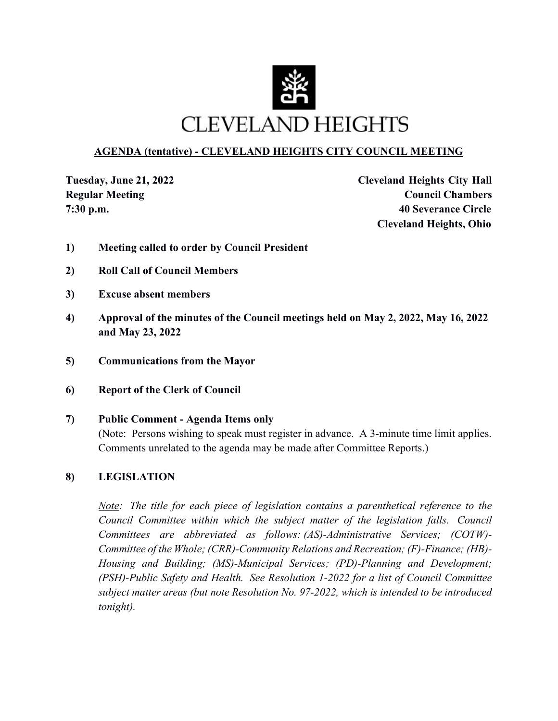

# **AGENDA (tentative) - CLEVELAND HEIGHTS CITY COUNCIL MEETING**

**Tuesday, June 21, 2022 Cleveland Heights City Hall Regular Meeting Council Chambers Council Chambers 7:30 p.m. 40 Severance Circle Cleveland Heights, Ohio**

- **1) Meeting called to order by Council President**
- **2) Roll Call of Council Members**
- **3) Excuse absent members**
- **4) Approval of the minutes of the Council meetings held on May 2, 2022, May 16, 2022 and May 23, 2022**
- **5) Communications from the Mayor**
- **6) Report of the Clerk of Council**
- **7) Public Comment Agenda Items only**

(Note: Persons wishing to speak must register in advance. A 3-minute time limit applies. Comments unrelated to the agenda may be made after Committee Reports.)

## **8) LEGISLATION**

*Note: The title for each piece of legislation contains a parenthetical reference to the Council Committee within which the subject matter of the legislation falls. Council Committees are abbreviated as follows: (AS)-Administrative Services; (COTW)- Committee of the Whole; (CRR)-Community Relations and Recreation; (F)-Finance; (HB)- Housing and Building; (MS)-Municipal Services; (PD)-Planning and Development; (PSH)-Public Safety and Health. See Resolution 1-2022 for a list of Council Committee subject matter areas (but note Resolution No. 97-2022, which is intended to be introduced tonight).*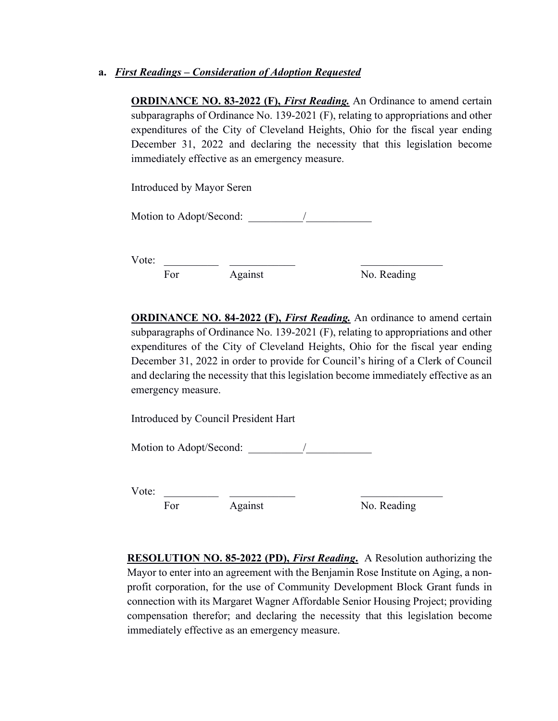### **a.** *First Readings – Consideration of Adoption Requested*

**ORDINANCE NO. 83-2022 (F),** *First Reading*. An Ordinance to amend certain subparagraphs of Ordinance No. 139-2021 (F), relating to appropriations and other expenditures of the City of Cleveland Heights, Ohio for the fiscal year ending December 31, 2022 and declaring the necessity that this legislation become immediately effective as an emergency measure.

Introduced by Mayor Seren

Motion to Adopt/Second:

Vote: \_\_\_\_\_\_\_\_\_\_ \_\_\_\_\_\_\_\_\_\_\_\_ \_\_\_\_\_\_\_\_\_\_\_\_\_\_\_

For Against No. Reading

**ORDINANCE NO. 84-2022 (F),** *First Reading.* An ordinance to amend certain subparagraphs of Ordinance No. 139-2021 (F), relating to appropriations and other expenditures of the City of Cleveland Heights, Ohio for the fiscal year ending December 31, 2022 in order to provide for Council's hiring of a Clerk of Council and declaring the necessity that this legislation become immediately effective as an emergency measure.

Introduced by Council President Hart

Motion to Adopt/Second:  $\sqrt{2}$ 

Vote: \_\_\_\_\_\_\_\_\_\_ \_\_\_\_\_\_\_\_\_\_\_\_ \_\_\_\_\_\_\_\_\_\_\_\_\_\_\_

For Against No. Reading

**RESOLUTION NO. 85-2022 (PD),** *First Reading***.** A Resolution authorizing the Mayor to enter into an agreement with the Benjamin Rose Institute on Aging, a nonprofit corporation, for the use of Community Development Block Grant funds in connection with its Margaret Wagner Affordable Senior Housing Project; providing compensation therefor; and declaring the necessity that this legislation become immediately effective as an emergency measure.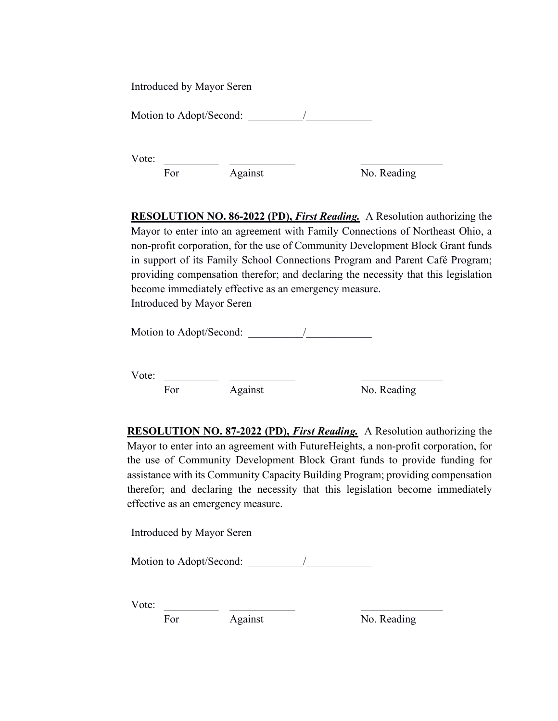Introduced by Mayor Seren Motion to Adopt/Second:  $\sqrt{2}$ 

Vote:

For Against No. Reading

**RESOLUTION NO. 86-2022 (PD),** *First Reading.* A Resolution authorizing the Mayor to enter into an agreement with Family Connections of Northeast Ohio, a non-profit corporation, for the use of Community Development Block Grant funds in support of its Family School Connections Program and Parent Café Program; providing compensation therefor; and declaring the necessity that this legislation become immediately effective as an emergency measure. Introduced by Mayor Seren

Motion to Adopt/Second: \_\_\_\_\_\_\_\_\_\_/\_\_\_\_\_\_\_\_\_\_\_\_

Vote: \_\_\_\_\_\_\_\_\_\_ \_\_\_\_\_\_\_\_\_\_\_\_ \_\_\_\_\_\_\_\_\_\_\_\_\_\_\_

For Against No. Reading

**RESOLUTION NO. 87-2022 (PD),** *First Reading.* A Resolution authorizing the Mayor to enter into an agreement with FutureHeights, a non-profit corporation, for the use of Community Development Block Grant funds to provide funding for assistance with its Community Capacity Building Program; providing compensation therefor; and declaring the necessity that this legislation become immediately effective as an emergency measure.

Introduced by Mayor Seren

Motion to Adopt/Second: \_\_\_\_\_\_\_\_\_\_/\_\_\_\_\_\_\_\_\_\_\_\_

Vote: \_\_\_\_\_\_\_\_\_\_ \_\_\_\_\_\_\_\_\_\_\_\_ \_\_\_\_\_\_\_\_\_\_\_\_\_\_\_

For Against No. Reading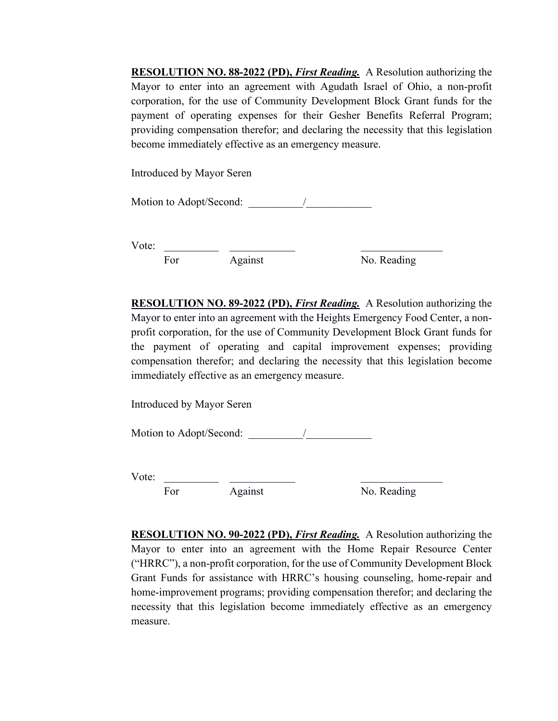**RESOLUTION NO. 88-2022 (PD),** *First Reading.* A Resolution authorizing the Mayor to enter into an agreement with Agudath Israel of Ohio, a non-profit corporation, for the use of Community Development Block Grant funds for the payment of operating expenses for their Gesher Benefits Referral Program; providing compensation therefor; and declaring the necessity that this legislation become immediately effective as an emergency measure.

Introduced by Mayor Seren

Motion to Adopt/Second:

Vote: For Against No. Reading

**RESOLUTION NO. 89-2022 (PD),** *First Reading.* A Resolution authorizing the Mayor to enter into an agreement with the Heights Emergency Food Center, a nonprofit corporation, for the use of Community Development Block Grant funds for the payment of operating and capital improvement expenses; providing compensation therefor; and declaring the necessity that this legislation become immediately effective as an emergency measure.

Introduced by Mayor Seren

Motion to Adopt/Second: 2012

Vote: \_\_\_\_\_\_\_\_\_\_ \_\_\_\_\_\_\_\_\_\_\_\_ \_\_\_\_\_\_\_\_\_\_\_\_\_\_\_

For Against No. Reading

**RESOLUTION NO. 90-2022 (PD),** *First Reading.* A Resolution authorizing the Mayor to enter into an agreement with the Home Repair Resource Center ("HRRC"), a non-profit corporation, for the use of Community Development Block Grant Funds for assistance with HRRC's housing counseling, home-repair and home-improvement programs; providing compensation therefor; and declaring the necessity that this legislation become immediately effective as an emergency measure.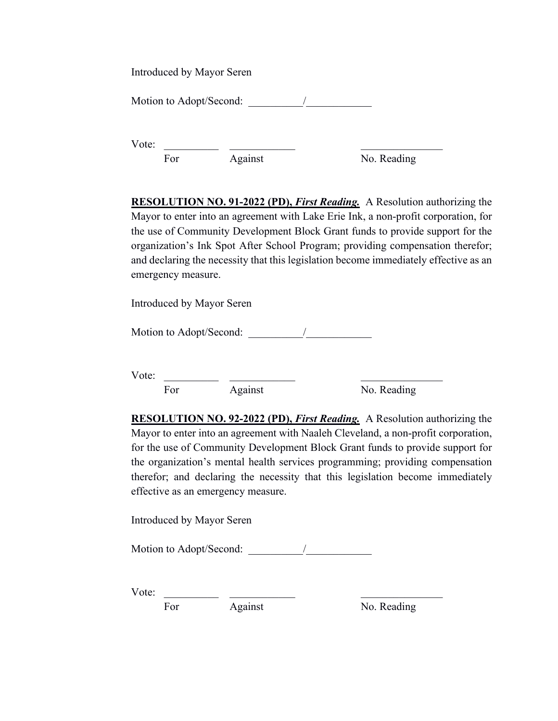Introduced by Mayor Seren

Motion to Adopt/Second:  $\sqrt{2}$ 

Vote: \_\_\_\_\_\_\_\_\_\_ \_\_\_\_\_\_\_\_\_\_\_\_ \_\_\_\_\_\_\_\_\_\_\_\_\_\_\_ For Against No. Reading

**RESOLUTION NO. 91-2022 (PD),** *First Reading.* A Resolution authorizing the Mayor to enter into an agreement with Lake Erie Ink, a non-profit corporation, for the use of Community Development Block Grant funds to provide support for the organization's Ink Spot After School Program; providing compensation therefor; and declaring the necessity that this legislation become immediately effective as an emergency measure.

Introduced by Mayor Seren

Motion to Adopt/Second: \_\_\_\_\_\_\_\_\_\_/\_\_\_\_\_\_\_\_\_\_\_\_

Vote: \_\_\_\_\_\_\_\_\_\_ \_\_\_\_\_\_\_\_\_\_\_\_ \_\_\_\_\_\_\_\_\_\_\_\_\_\_\_

For Against No. Reading

**RESOLUTION NO. 92-2022 (PD),** *First Reading.* A Resolution authorizing the Mayor to enter into an agreement with Naaleh Cleveland, a non-profit corporation, for the use of Community Development Block Grant funds to provide support for the organization's mental health services programming; providing compensation therefor; and declaring the necessity that this legislation become immediately effective as an emergency measure.

Introduced by Mayor Seren

Motion to Adopt/Second:  $\qquad \qquad$ 

Vote: \_\_\_\_\_\_\_\_\_\_ \_\_\_\_\_\_\_\_\_\_\_\_ \_\_\_\_\_\_\_\_\_\_\_\_\_\_\_

For Against No. Reading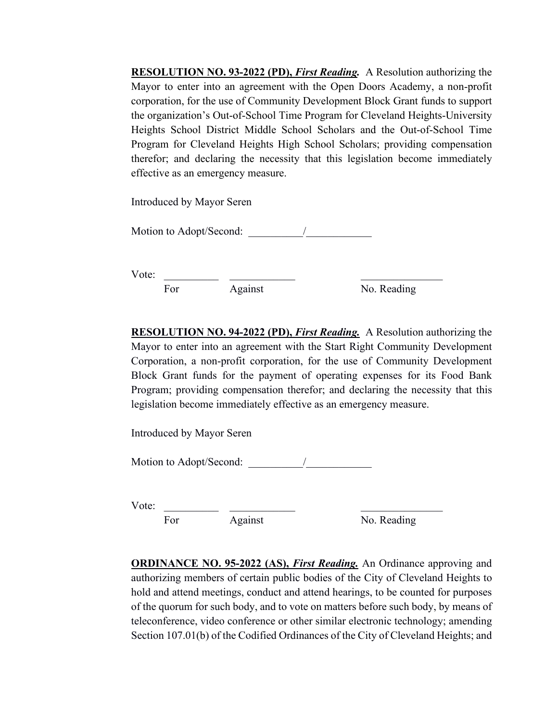**RESOLUTION NO. 93-2022 (PD),** *First Reading.* A Resolution authorizing the Mayor to enter into an agreement with the Open Doors Academy, a non-profit corporation, for the use of Community Development Block Grant funds to support the organization's Out-of-School Time Program for Cleveland Heights-University Heights School District Middle School Scholars and the Out-of-School Time Program for Cleveland Heights High School Scholars; providing compensation therefor; and declaring the necessity that this legislation become immediately effective as an emergency measure.

Introduced by Mayor Seren

Motion to Adopt/Second: \_\_\_\_\_\_\_\_\_\_/\_\_\_\_\_\_\_\_\_\_\_\_

Vote: \_\_\_\_\_\_\_\_\_\_ \_\_\_\_\_\_\_\_\_\_\_\_ \_\_\_\_\_\_\_\_\_\_\_\_\_\_\_

For Against No. Reading

**RESOLUTION NO. 94-2022 (PD),** *First Reading.* A Resolution authorizing the Mayor to enter into an agreement with the Start Right Community Development Corporation, a non-profit corporation, for the use of Community Development Block Grant funds for the payment of operating expenses for its Food Bank Program; providing compensation therefor; and declaring the necessity that this legislation become immediately effective as an emergency measure.

Introduced by Mayor Seren

Motion to Adopt/Second:  $\sqrt{2}$ 

Vote: \_\_\_\_\_\_\_\_\_\_ \_\_\_\_\_\_\_\_\_\_\_\_ \_\_\_\_\_\_\_\_\_\_\_\_\_\_\_

For Against No. Reading

**ORDINANCE NO. 95-2022 (AS),** *First Reading.* An Ordinance approving and authorizing members of certain public bodies of the City of Cleveland Heights to hold and attend meetings, conduct and attend hearings, to be counted for purposes of the quorum for such body, and to vote on matters before such body, by means of teleconference, video conference or other similar electronic technology; amending Section 107.01(b) of the Codified Ordinances of the City of Cleveland Heights; and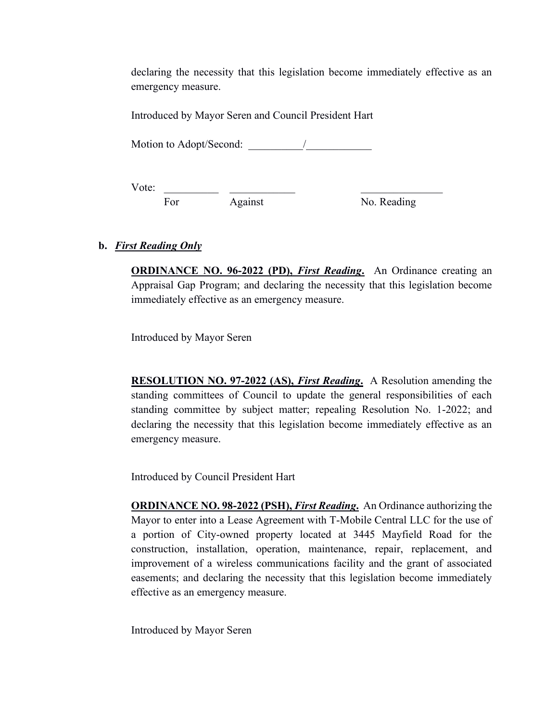declaring the necessity that this legislation become immediately effective as an emergency measure.

Introduced by Mayor Seren and Council President Hart

Motion to Adopt/Second: \_\_\_\_\_\_\_\_\_\_/\_\_\_\_\_\_\_\_\_\_\_\_

Vote: \_\_\_\_\_\_\_\_\_\_ \_\_\_\_\_\_\_\_\_\_\_\_ \_\_\_\_\_\_\_\_\_\_\_\_\_\_\_ For Against No. Reading

# **b.** *First Reading Only*

**ORDINANCE NO. 96-2022 (PD),** *First Reading***.** An Ordinance creating an Appraisal Gap Program; and declaring the necessity that this legislation become immediately effective as an emergency measure.

Introduced by Mayor Seren

**RESOLUTION NO. 97-2022 (AS),** *First Reading***.** A Resolution amending the standing committees of Council to update the general responsibilities of each standing committee by subject matter; repealing Resolution No. 1-2022; and declaring the necessity that this legislation become immediately effective as an emergency measure.

Introduced by Council President Hart

**ORDINANCE NO. 98-2022 (PSH),** *First Reading***.** An Ordinance authorizing the Mayor to enter into a Lease Agreement with T-Mobile Central LLC for the use of a portion of City-owned property located at 3445 Mayfield Road for the construction, installation, operation, maintenance, repair, replacement, and improvement of a wireless communications facility and the grant of associated easements; and declaring the necessity that this legislation become immediately effective as an emergency measure.

Introduced by Mayor Seren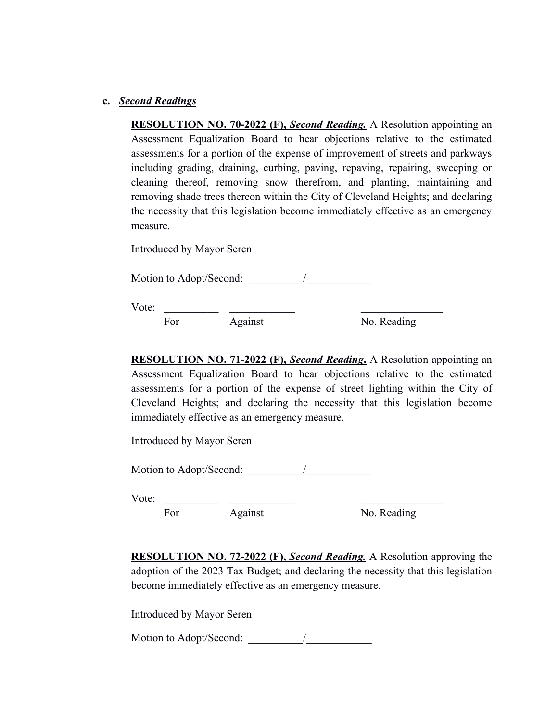#### **c.** *Second Readings*

**RESOLUTION NO. 70-2022 (F),** *Second Reading.* A Resolution appointing an Assessment Equalization Board to hear objections relative to the estimated assessments for a portion of the expense of improvement of streets and parkways including grading, draining, curbing, paving, repaving, repairing, sweeping or cleaning thereof, removing snow therefrom, and planting, maintaining and removing shade trees thereon within the City of Cleveland Heights; and declaring the necessity that this legislation become immediately effective as an emergency measure.

Introduced by Mayor Seren

Motion to Adopt/Second: \_\_\_\_\_\_\_\_\_\_\_\_\_\_/

Vote: \_\_\_\_\_\_\_\_\_\_ \_\_\_\_\_\_\_\_\_\_\_\_ \_\_\_\_\_\_\_\_\_\_\_\_\_\_\_

For Against No. Reading

**RESOLUTION NO. 71-2022 (F),** *Second Reading***.** A Resolution appointing an Assessment Equalization Board to hear objections relative to the estimated assessments for a portion of the expense of street lighting within the City of Cleveland Heights; and declaring the necessity that this legislation become immediately effective as an emergency measure.

Introduced by Mayor Seren

Motion to Adopt/Second:  $\qquad$ 

Vote: \_\_\_\_\_\_\_\_\_\_ \_\_\_\_\_\_\_\_\_\_\_\_ \_\_\_\_\_\_\_\_\_\_\_\_\_\_\_

For Against No. Reading

**RESOLUTION NO. 72-2022 (F),** *Second Reading.* A Resolution approving the adoption of the 2023 Tax Budget; and declaring the necessity that this legislation become immediately effective as an emergency measure.

Introduced by Mayor Seren

Motion to Adopt/Second:  $\frac{1}{2}$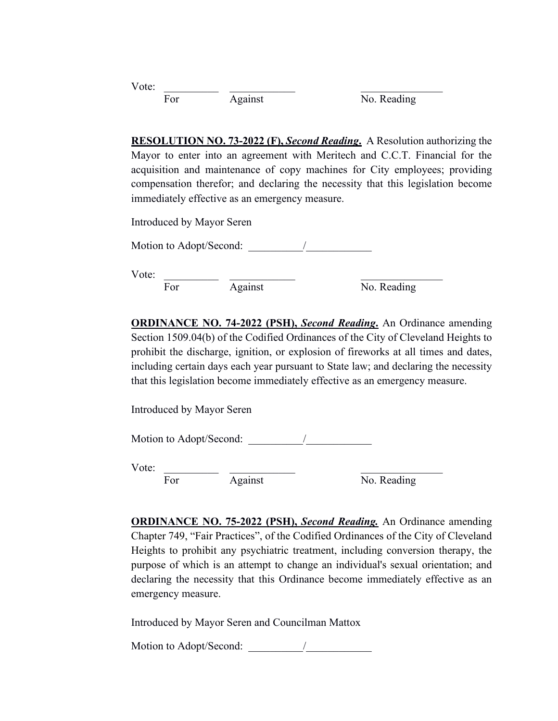| Vote: |     |         |             |
|-------|-----|---------|-------------|
|       | For | Against | No. Reading |

**RESOLUTION NO. 73-2022 (F),** *Second Reading***.** A Resolution authorizing the Mayor to enter into an agreement with Meritech and C.C.T. Financial for the acquisition and maintenance of copy machines for City employees; providing compensation therefor; and declaring the necessity that this legislation become immediately effective as an emergency measure.

Introduced by Mayor Seren

Motion to Adopt/Second:

Vote:  $\frac{1}{\text{For}}$   $\frac{1}{\text{Again}}$  $\overline{\text{For}}$   $\overline{\text{Again}}$   $\overline{\text{No. Reading}}$ 

**ORDINANCE NO. 74-2022 (PSH),** *Second Reading***.** An Ordinance amending Section 1509.04(b) of the Codified Ordinances of the City of Cleveland Heights to prohibit the discharge, ignition, or explosion of fireworks at all times and dates, including certain days each year pursuant to State law; and declaring the necessity that this legislation become immediately effective as an emergency measure.

Introduced by Mayor Seren

Motion to Adopt/Second:  $\sqrt{a}$ 

Vote: \_\_\_\_\_\_\_\_\_\_ \_\_\_\_\_\_\_\_\_\_\_\_ \_\_\_\_\_\_\_\_\_\_\_\_\_\_\_

 $\overline{\text{For}}$   $\overline{\text{Against}}$   $\overline{\text{No. Reading}}$ 

**ORDINANCE NO. 75-2022 (PSH),** *Second Reading.* An Ordinance amending Chapter 749, "Fair Practices", of the Codified Ordinances of the City of Cleveland Heights to prohibit any psychiatric treatment, including conversion therapy, the purpose of which is an attempt to change an individual's sexual orientation; and declaring the necessity that this Ordinance become immediately effective as an emergency measure.

Introduced by Mayor Seren and Councilman Mattox

Motion to Adopt/Second: \_\_\_\_\_\_\_\_\_\_/\_\_\_\_\_\_\_\_\_\_\_\_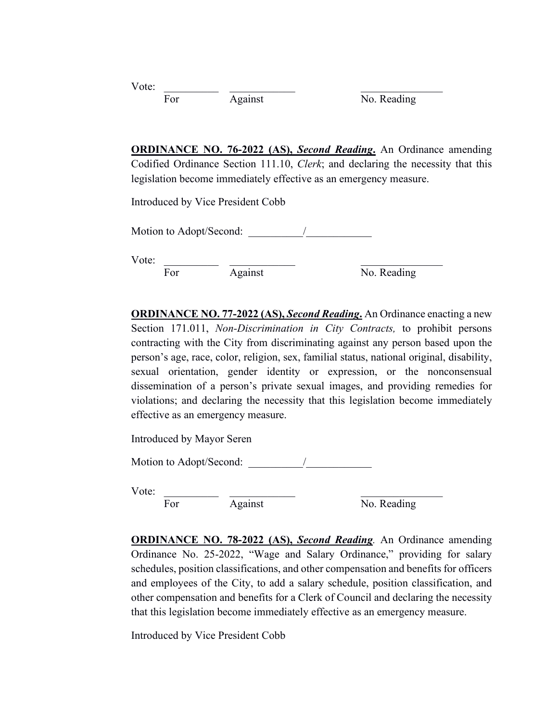| Vote: |     |         |             |
|-------|-----|---------|-------------|
|       | For | Against | No. Reading |

**ORDINANCE NO. 76-2022 (AS),** *Second Reading***.** An Ordinance amending Codified Ordinance Section 111.10, *Clerk*; and declaring the necessity that this legislation become immediately effective as an emergency measure.

Introduced by Vice President Cobb

Motion to Adopt/Second:  $\frac{1}{2}$ 

Vote: \_\_\_\_\_\_\_\_\_\_ \_\_\_\_\_\_\_\_\_\_\_\_ \_\_\_\_\_\_\_\_\_\_\_\_\_\_\_

For Against No. Reading

**ORDINANCE NO. 77-2022 (AS),** *Second Reading***.** An Ordinance enacting a new Section 171.011, *Non-Discrimination in City Contracts,* to prohibit persons contracting with the City from discriminating against any person based upon the person's age, race, color, religion, sex, familial status, national original, disability, sexual orientation, gender identity or expression, or the nonconsensual dissemination of a person's private sexual images, and providing remedies for violations; and declaring the necessity that this legislation become immediately effective as an emergency measure.

Introduced by Mayor Seren

Motion to Adopt/Second:  $\qquad$ 

Vote: \_\_\_\_\_\_\_\_\_\_ \_\_\_\_\_\_\_\_\_\_\_\_ \_\_\_\_\_\_\_\_\_\_\_\_\_\_\_

For Against No. Reading

**ORDINANCE NO. 78-2022 (AS),** *Second Reading.* An Ordinance amending Ordinance No. 25-2022, "Wage and Salary Ordinance," providing for salary schedules, position classifications, and other compensation and benefits for officers and employees of the City, to add a salary schedule, position classification, and other compensation and benefits for a Clerk of Council and declaring the necessity that this legislation become immediately effective as an emergency measure.

Introduced by Vice President Cobb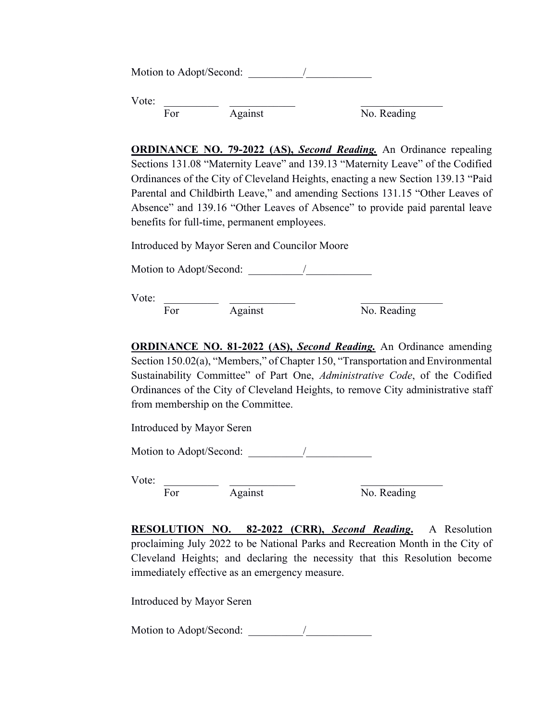|       | Motion to Adopt/Second: |         |             |  |
|-------|-------------------------|---------|-------------|--|
| Vote: | For                     | Against | No. Reading |  |

**ORDINANCE NO. 79-2022 (AS),** *Second Reading.* An Ordinance repealing Sections 131.08 "Maternity Leave" and 139.13 "Maternity Leave" of the Codified Ordinances of the City of Cleveland Heights, enacting a new Section 139.13 "Paid Parental and Childbirth Leave," and amending Sections 131.15 "Other Leaves of Absence" and 139.16 "Other Leaves of Absence" to provide paid parental leave benefits for full-time, permanent employees.

Introduced by Mayor Seren and Councilor Moore

Motion to Adopt/Second:  $\frac{1}{2}$ 

Vote: \_\_\_\_\_\_\_\_\_\_ \_\_\_\_\_\_\_\_\_\_\_\_ \_\_\_\_\_\_\_\_\_\_\_\_\_\_\_

For Against No. Reading

**ORDINANCE NO. 81-2022 (AS),** *Second Reading.* An Ordinance amending Section 150.02(a), "Members," of Chapter 150, "Transportation and Environmental Sustainability Committee" of Part One, *Administrative Code*, of the Codified Ordinances of the City of Cleveland Heights, to remove City administrative staff from membership on the Committee.

Introduced by Mayor Seren

Motion to Adopt/Second:  $\frac{1}{2}$ 

Vote:

For Against No. Reading

**RESOLUTION NO. 82-2022 (CRR),** *Second Reading***.** A Resolution proclaiming July 2022 to be National Parks and Recreation Month in the City of Cleveland Heights; and declaring the necessity that this Resolution become immediately effective as an emergency measure.

Introduced by Mayor Seren

Motion to Adopt/Second:  $\frac{1}{2}$